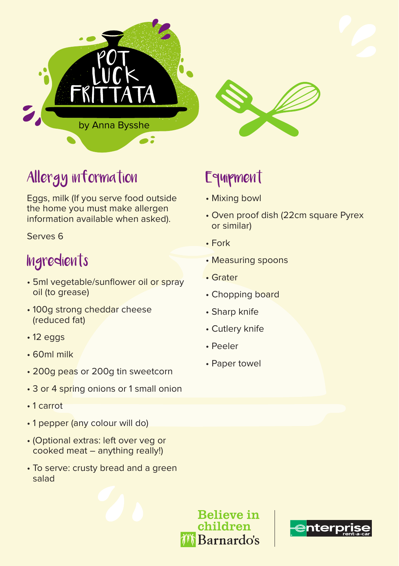



### Allergy information

Eggs, milk (If you serve food outside the home you must make allergen information available when asked).

Serves 6

### **Ingredients**

- 5ml vegetable/sunflower oil or spray oil (to grease)
- 100g strong cheddar cheese (reduced fat)
- $\cdot$  12 eggs
- 60ml milk
- 200q peas or 200q tin sweetcorn
- 3 or 4 spring onions or 1 small onion
- 1 carrot
- 1 pepper (any colour will do)
- (Optional extras: left over veg or cooked meat – anything really!)
- To serve: crusty bread and a green salad

# **Believe in** children

Barnardo's



# Equipment

- Mixing bowl
- Oven proof dish (22cm square Pyrex or similar)
- Fork
- Measuring spoons
- Grater
- Chopping board
- Sharp knife
- Cutlery knife
- Peeler
- Paper towel